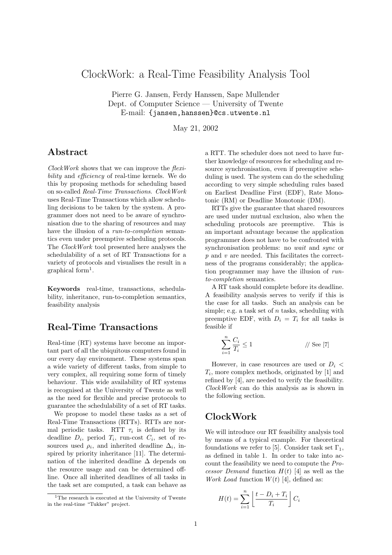# ClockWork: a Real-Time Feasibility Analysis Tool

Pierre G. Jansen, Ferdy Hanssen, Sape Mullender Dept. of Computer Science — University of Twente E-mail: [{jansen,](mailto:jansen@cs.utwente.nl)[hanssen}](mailto:hanssen@cs.utwente.nl)@cs.utwente.nl

May 21, 2002

### Abstract

ClockWork shows that we can improve the flexibility and *efficiency* of real-time kernels. We do this by proposing methods for scheduling based on so-called Real-Time Transactions. ClockWork uses Real-Time Transactions which allow scheduling decisions to be taken by the system. A programmer does not need to be aware of synchronisation due to the sharing of resources and may have the illusion of a *run-to-completion* semantics even under preemptive scheduling protocols. The ClockWork tool presented here analyses the schedulability of a set of RT Transactions for a variety of protocols and visualises the result in a graphical form[1](#page-0-0) .

Keywords real-time, transactions, schedulability, inheritance, run-to-completion semantics, feasibility analysis

## Real-Time Transactions

Real-time (RT) systems have become an important part of all the ubiquitous computers found in our every day environment. These systems span a wide variety of different tasks, from simple to very complex, all requiring some form of timely behaviour. This wide availability of RT systems is recognised at the University of Twente as well as the need for flexible and precise protocols to guarantee the schedulability of a set of RT tasks.

We propose to model these tasks as a set of Real-Time Transactions (RTTs). RTTs are normal periodic tasks. RTT  $\tau_i$  is defined by its deadline  $D_i$ , period  $T_i$ , run-cost  $C_i$ , set of resources used  $\rho_i$ , and inherited deadline  $\Delta_i$ , inspired by priority inheritance [\[11\]](#page-2-0). The determination of the inherited deadline  $\Delta$  depends on the resource usage and can be determined offline. Once all inherited deadlines of all tasks in the task set are computed, a task can behave as a RTT. The scheduler does not need to have further knowledge of resources for scheduling and resource synchronisation, even if preemptive scheduling is used. The system can do the scheduling according to very simple scheduling rules based on Earliest Deadline First (EDF), Rate Monotonic (RM) or Deadline Monotonic (DM).

RTTs give the guarantee that shared resources are used under mutual exclusion, also when the scheduling protocols are preemptive. This is an important advantage because the application programmer does not have to be confronted with synchronisation problems: no *wait* and *sync* or  $p$  and  $v$  are needed. This facilitates the correctness of the programs considerably; the application programmer may have the illusion of runto-completion semantics.

A RT task should complete before its deadline. A feasibility analysis serves to verify if this is the case for all tasks. Such an analysis can be simple; e.g. a task set of  $n$  tasks, scheduling with preemptive EDF, with  $D_i = T_i$  for all tasks is feasible if

$$
\sum_{i=1}^{n} \frac{C_i}{T_i} \le 1 \qquad \qquad \text{# See [7]}
$$

However, in case resources are used or  $D_i$  <  $T_i$ , more complex methods, originated by [\[1\]](#page-2-2) and refined by [\[4\]](#page-2-3), are needed to verify the feasibility. ClockWork can do this analysis as is shown in the following section.

## ClockWork

We will introduce our RT feasibility analysis tool by means of a typical example. For theoretical foundations we refer to [\[5\]](#page-2-4). Consider task set  $\Gamma_1$ , as defined in table [1.](#page-1-0) In order to take into account the feasibility we need to compute the Processor Demand function  $H(t)$  [\[4\]](#page-2-3) as well as the Work Load function  $W(t)$  [\[4\]](#page-2-3), defined as:

$$
H(t) = \sum_{i=1}^{n} \left[ \frac{t - D_i + T_i}{T_i} \right] C_i
$$

<span id="page-0-0"></span><sup>&</sup>lt;sup>1</sup>The research is executed at the University of Twente in the real-time "Tukker" project.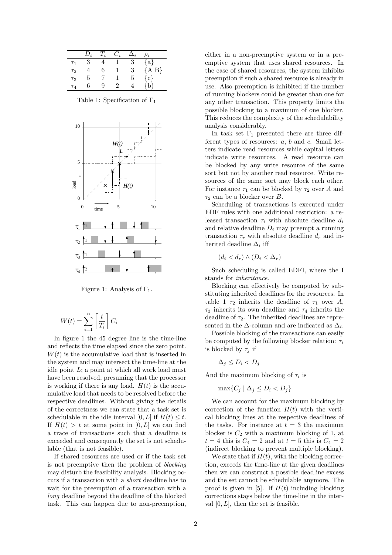|          | $D_i$ | $T_i$ | $C_i$ |   | $\rho_i$ |
|----------|-------|-------|-------|---|----------|
| $T_1$    |       |       |       | 3 | $\{a\}$  |
| $\tau_2$ |       | 6     |       | 3 | [A B]    |
| $\tau_3$ | 5     |       |       | 5 | ${c}$    |
|          | ĥ     |       |       |   | b        |

<span id="page-1-0"></span>Table 1: Specification of  $\Gamma_1$ 



<span id="page-1-1"></span>Figure 1: Analysis of  $\Gamma_1$ .

$$
W(t) = \sum_{i=1}^{n} \left[ \frac{t}{T_i} \right] C_i
$$

In figure [1](#page-1-1) the 45 degree line is the time-line and reflects the time elapsed since the zero point.  $W(t)$  is the accumulative load that is inserted in the system and may intersect the time-line at the idle point  $L$ ; a point at which all work load must have been resolved, presuming that the processor is working if there is any load.  $H(t)$  is the accumulative load that needs to be resolved before the respective deadlines. Without giving the details of the correctness we can state that a task set is schedulable in the idle interval  $[0, L]$  if  $H(t) \leq t$ . If  $H(t) > t$  at some point in [0, L] we can find a trace of transactions such that a deadline is exceeded and consequently the set is not schedulable (that is not feasible).

If shared resources are used or if the task set is not preemptive then the problem of blocking may disturb the feasibility analysis. Blocking occurs if a transaction with a short deadline has to wait for the preemption of a transaction with a long deadline beyond the deadline of the blocked task. This can happen due to non-preemption,

either in a non-preemptive system or in a preemptive system that uses shared resources. In the case of shared resources, the system inhibits preemption if such a shared resource is already in use. Also preemption is inhibited if the number of running blockers could be greater than one for any other transaction. This property limits the possible blocking to a maximum of one blocker. This reduces the complexity of the schedulability analysis considerably.

In task set  $\Gamma_1$  presented there are three different types of resources:  $a, b$  and  $c$ . Small letters indicate read resources while capital letters indicate write resources. A read resource can be blocked by any write resource of the same sort but not by another read resource. Write resources of the same sort may block each other. For instance  $\tau_1$  can be blocked by  $\tau_2$  over A and  $\tau_2$  can be a blocker over B.

Scheduling of transactions is executed under EDF rules with one additional restriction: a released transaction  $\tau_i$  with absolute deadline  $d_i$ and relative deadline  $D_i$  may preempt a running transaction  $\tau_r$  with absolute deadline  $d_r$  and inherited deadline  $\Delta_i$  iff

$$
(d_i < d_r) \wedge (D_i < \Delta_r)
$$

Such scheduling is called EDFI, where the I stands for inheritance.

Blocking can effectively be computed by substituting inherited deadlines for the resources. In table [1](#page-1-0)  $\tau_2$  inherits the deadline of  $\tau_1$  over A,  $\tau_3$  inherits its own deadline and  $\tau_4$  inherits the deadline of  $\tau_2$ . The inherited deadlines are represented in the  $\Delta$ -column and are indicated as  $\Delta_i$ .

Possible blocking of the transactions can easily be computed by the following blocker relation:  $\tau_i$ is blocked by  $\tau_j$  if

$$
\Delta_j \le D_i < D_j
$$

And the maximum blocking of  $\tau_i$  is

$$
\max\{C_j \mid \Delta_j \le D_i < D_j\}
$$

We can account for the maximum blocking by correction of the function  $H(t)$  with the vertical blocking lines at the respective deadlines of the tasks. For instance at  $t = 3$  the maximum blocker is  $C_2$  with a maximum blocking of 1, at  $t = 4$  this is  $C_4 = 2$  and at  $t = 5$  this is  $C_4 = 2$ (indirect blocking to prevent multiple blocking).

We state that if  $H(t)$ , with the blocking correction, exceeds the time-line at the given deadlines then we can construct a possible deadline excess and the set cannot be schedulable anymore. The proof is given in [\[5\]](#page-2-4). If  $H(t)$  including blocking corrections stays below the time-line in the interval  $[0, L]$ , then the set is feasible.